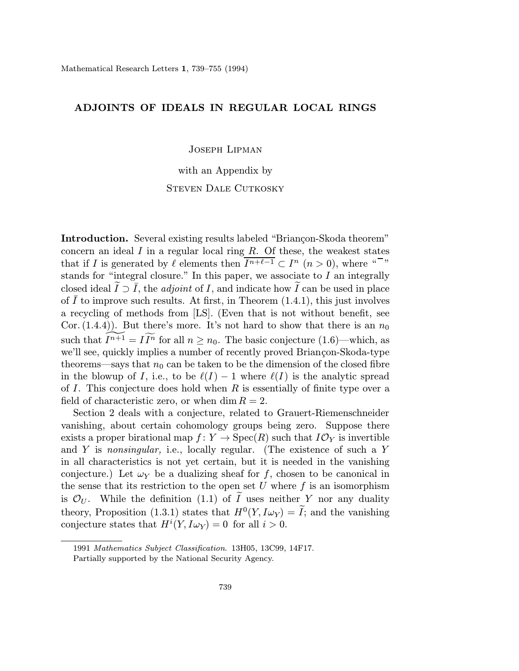## ADJOINTS OF IDEALS IN REGULAR LOCAL RINGS

Joseph Lipman

with an Appendix by STEVEN DALE CUTKOSKY

Introduction. Several existing results labeled "Briançon-Skoda theorem" concern an ideal  $I$  in a regular local ring  $R$ . Of these, the weakest states that if I is generated by  $\ell$  elements then  $I^{n+\ell-1} \subset I^n$   $(n > 0)$ , where " stands for "integral closure." In this paper, we associate to I an integrally closed ideal  $\widetilde{I} \supset \overline{I}$ , the *adjoint* of *I*, and indicate how  $\widetilde{I}$  can be used in place of  $I$  to improve such results. At first, in Theorem  $(1.4.1)$ , this just involves a recycling of methods from [LS]. (Even that is not without benefit, see Cor. (1.4.4)). But there's more. It's not hard to show that there is an  $n_0$ such that  $\widetilde{I^{n+1}} = \widetilde{I^{n}}$  for all  $n \geq n_0$ . The basic conjecture (1.6)—which, as we'll see, quickly implies a number of recently proved Briançon-Skoda-type theorems—says that  $n_0$  can be taken to be the dimension of the closed fibre in the blowup of I, i.e., to be  $\ell(I) - 1$  where  $\ell(I)$  is the analytic spread of I. This conjecture does hold when  $R$  is essentially of finite type over a field of characteristic zero, or when dim  $R = 2$ .

Section 2 deals with a conjecture, related to Grauert-Riemenschneider vanishing, about certain cohomology groups being zero. Suppose there exists a proper birational map  $f: Y \to \text{Spec}(R)$  such that  $I\mathcal{O}_Y$  is invertible and  $Y$  is nonsingular, i.e., locally regular. (The existence of such a  $Y$ in all characteristics is not yet certain, but it is needed in the vanishing econjecture.) Let  $\omega_Y$  be a dualizing sheaf for f, chosen to be canonical in the sense that its restriction to the open set U where  $f$  is an isomorphism is  $\mathcal{O}_U$ . While the definition (1.1) of I uses neither Y nor any duality theory, Proposition (1.3.1) states that  $H^0(Y, I\omega_Y) = \tilde{I}$ ; and the vanishing conjecture states that  $H^{i}(Y, I\omega_Y) = 0$  for all  $i > 0$ .

<sup>1991</sup> Mathematics Subject Classification. 13H05, 13C99, 14F17.

Partially supported by the National Security Agency.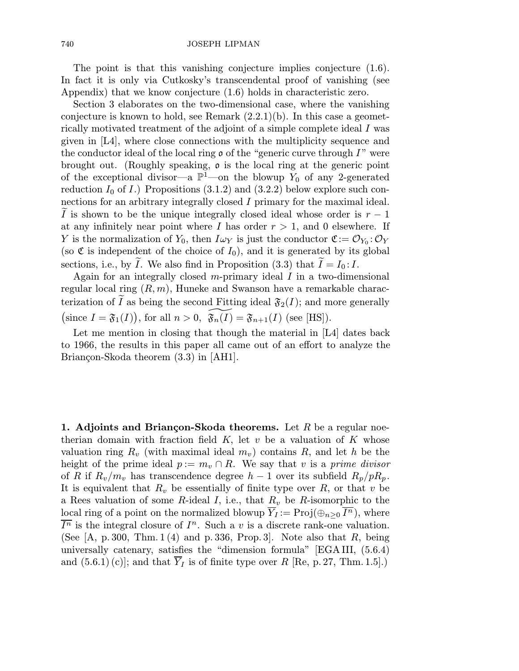740 JOSEPH LIPMAN

The point is that this vanishing conjecture implies conjecture (1.6). In fact it is only via Cutkosky's transcendental proof of vanishing (see Appendix) that we know conjecture (1.6) holds in characteristic zero.

Section 3 elaborates on the two-dimensional case, where the vanishing conjecture is known to hold, see Remark  $(2.2.1)(b)$ . In this case a geometrically motivated treatment of the adjoint of a simple complete ideal I was given in [L4], where close connections with the multiplicity sequence and the conductor ideal of the local ring  $\rho$  of the "generic curve through  $I$ " were brought out. (Roughly speaking, o is the local ring at the generic point eof the exceptional divisor—a  $\mathbb{P}^1$ —on the blowup  $Y_0$  of any 2-generated reduction  $I_0$  of  $I$ .) Propositions (3.1.2) and (3.2.2) below explore such connections for an arbitrary integrally closed I primary for the maximal ideal. I is shown to be the unique integrally closed ideal whose order is  $r-1$ at any infinitely near point where I has order  $r > 1$ , and 0 elsewhere. If Y is the normalization of  $Y_0$ , then  $I\omega_Y$  is just the conductor  $\mathfrak{C}:=\mathcal{O}_{Y_0}:\mathcal{O}_Y$ (so  $\mathfrak C$  is independent of the choice of  $I_0$ ), and it is generated by its global sections, i.e., by I. We also find in Proposition  $(3.3)$  that  $I = I_0: I$ . er<br>E sections, i.e., by  $I$ 

Again for an integrally closed m-primary ideal  $I$  in a two-dimensional regular local ring  $(R, m)$ , Huneke and Swanson have a remarkable characterization of I as being the second Fitting ideal  $\mathfrak{F}_2(I)$ ; and more generally (since  $I = \mathfrak{F}_1(I)$ ), for all  $n > 0$ ,  $\widetilde{\mathfrak{F}_n(I)} = \mathfrak{F}_{n+1}(I)$  (see [HS]).

Let me mention in closing that though the material in [L4] dates back to 1966, the results in this paper all came out of an effort to analyze the Briançon-Skoda theorem  $(3.3)$  in [AH1].

1. Adjoints and Briançon-Skoda theorems. Let R be a regular noetherian domain with fraction field  $K$ , let v be a valuation of K whose valuation ring  $R_v$  (with maximal ideal  $m_v$ ) contains R, and let h be the height of the prime ideal  $p := m_v \cap R$ . We say that v is a prime divisor of R if  $R_v/m_v$  has transcendence degree  $h-1$  over its subfield  $R_p/pR_p$ . It is equivalent that  $R_v$  be essentially of finite type over  $R$ , or that v be a Rees valuation of some R-ideal I, i.e., that  $R_v$  be R-isomorphic to the local ring of a point on the normalized blowup  $Y_I := \text{Proj}(\bigoplus_{n>0} I^n)$ , where  $\overline{I^n}$  is the integral closure of  $I^n$ . Such a v is a discrete rank-one valuation. (See  $[A, p. 300, Thm. 1(4)$  and p. 336, Prop. 3.). Note also that  $R$ , being universally catenary, satisfies the "dimension formula" [EGAIII, (5.6.4) and  $(5.6.1)(c)$ ; and that  $\overline{Y}_I$  is of finite type over R [Re, p. 27, Thm. 1.5].)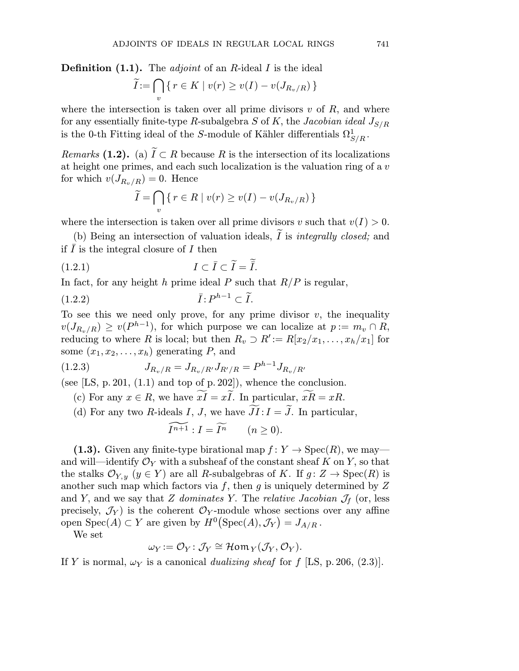**Definition (1.1).** The *adjoint* of an R-ideal I is the ideal

OINTS OF IDEALS IN REGULAR LOCAL RI

\n1). The *adjoint* of an *R*-ideal *I* is the idea

\n
$$
\widetilde{I} := \bigcap_{v} \{ r \in K \mid v(r) \geq v(I) - v(J_{R_v/R}) \}
$$

where the intersection is taken over all prime divisors  $v$  of  $R$ , and where for any essentially finite-type R-subalgebra  $S$  of  $K$ , the Jacobian ideal  $J_{S/R}$ is the 0-th Fitting ideal of the S-module of Kähler differentials  $\Omega_{S/R}^1$ .

Remarks (1.2). (a)  $\widetilde{I} \subset R$  because R is the intersection of its localizations at height one primes, and each such localization is the valuation ring of a v for which  $v(J_{R_v/R}) = 0$ . Hence (c)  $\widetilde{I} \subset$ <br>
es, an<br>  $= 0$ <br>  $= \bigcap$ 

$$
\widetilde{I} = \bigcap_{v} \{ r \in R \mid v(r) \ge v(I) - v(J_{R_v/R}) \}
$$

where the intersection is taken over all prime divisors v such that  $v(I) > 0$ .

(b) Being an intersection of valuation ideals, I is *integrally closed*; and if  $\overline{I}$  is the integral closure of  $I$  then rime<br>
1 ide<br>  $= \tilde{\tilde{I}}.$ 

11.1 is the integral closure of 
$$
I
$$
 then

\n(1.2.1)

\n
$$
I \subset \overline{I} \subset \widetilde{I} = \widetilde{\overline{I}}.
$$
\nIn fact, for any height  $h$  prime ideal  $P$  such

\n
$$
\overline{I}: P^{h-1} \subset \widetilde{I}.
$$

In fact, for any height h prime ideal P such that  $R/P$  is regular,

$$
(1.2.2) \t\t \bar{I}: P^{h-1} \subset \bar{I}.
$$

To see this we need only prove, for any prime divisor  $v$ , the inequality  $v(J_{R_v/R}) \ge v(P^{h-1}),$  for which purpose we can localize at  $p := m_v \cap R$ , reducing to where R is local; but then  $R_v \supset R := R[x_2/x_1,\ldots,x_h/x_1]$  for some  $(x_1, x_2, \ldots, x_h)$  generating P, and

some 
$$
(x_1, x_2, ..., x_h)
$$
 generating  $P$ , and  
\n(1.2.3)  $J_{R_v/R} = J_{R_v/R'} J_{R'/R} = P^{h-1} J_{R_v/R'}$   
\n(see [LS, p. 201, (1.1) and top of p. 202]), whence the conclusion.  
\n(c) For any  $x \in R$ , we have  $\widetilde{xI} = x\widetilde{I}$ . In particular,  $\widetilde{xR} = xR$ .  
\n(d) For any two  $R$ -ideals  $I$ ,  $J$ , we have  $\widetilde{JI}: I = \widetilde{J}$ . In particular,

(see [LS, p. 201,  $(1.1)$  and top of p. 202]), whence the conclusion.

$$
\widetilde{I^{n+1}}: I = \widetilde{I^n} \qquad (n \ge 0).
$$

(1.3). Given any finite-type birational map  $f: Y \to \text{Spec}(R)$ , we may and will—identify  $\mathcal{O}_Y$  with a subsheaf of the constant sheaf K on Y, so that the stalks  $\mathcal{O}_{Y,y}$   $(y \in Y)$  are all R-subalgebras of K. If  $g: Z \to \text{Spec}(R)$  is another such map which factors via f, then g is uniquely determined by  $Z$ and Y, and we say that Z dominates Y. The relative Jacobian  $\mathcal{J}_f$  (or, less precisely,  $\mathcal{J}_Y$  is the coherent  $\mathcal{O}_Y$ -module whose sections over any affine open  $Spec(A) \subset Y$  are given by  $H^0(Spec(A), \mathcal{J}_Y) = J_{A/R}$ .

We set

$$
\omega_Y := \mathcal{O}_Y : \mathcal{J}_Y \cong \mathcal{H}om_Y(\mathcal{J}_Y, \mathcal{O}_Y).
$$

If Y is normal,  $\omega_Y$  is a canonical dualizing sheaf for f [LS, p. 206, (2.3)].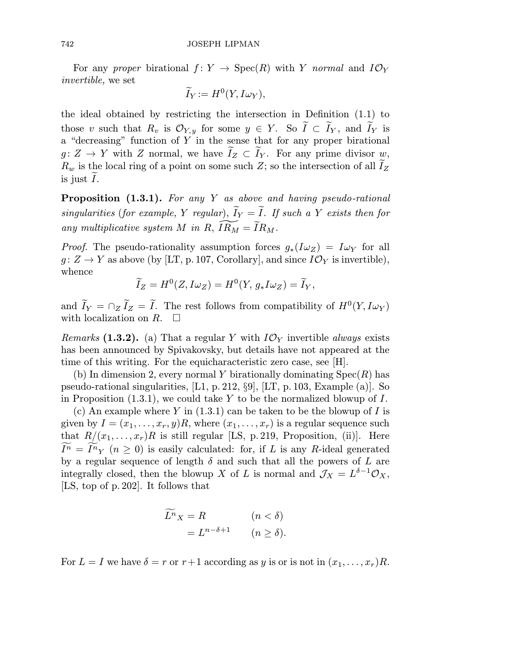For any proper birational  $f: Y \to \text{Spec}(R)$  with Y normal and  $I\mathcal{O}_Y$ invertible, we set

$$
\widetilde{I}_Y := H^0(Y, I\omega_Y),
$$

the ideal obtained by restricting the intersection in Definition  $(1.1)$  to those v such that  $R_v$  is  $\mathcal{O}_{Y,y}$  for some  $y \in Y$ . So  $I \subset I_Y$ , and  $I_Y$  is a "decreasing" function of  $\tilde{Y}$  in the sense that for any proper birational  $g: Z \to Y$  with Z normal, we have  $I_Z \subset I_Y$ . For any prime divisor w,  $R_w$  is the local ring of a point on some such  $Z$ ; so the intersection of all  $I_Z$  $\ddot{\ }$ . is just  $I$ . e

Proposition (1.3.1). For any Y as above and having pseudo-rational singularities (for example, Y regular),  $I_Y = I$ . If such a Y exists then for any multiplicative system M in R,  $\widetilde{IRM} = \widetilde{I}R_M$ .

*Proof.* The pseudo-rationality assumption forces  $g_*(I\omega_Z) = I\omega_Y$  for all  $g \colon Z \to Y$  as above (by [LT, p. 107, Corollary], and since  $I\mathcal{O}_Y$  is invertible), whence  $\mathbf{e} = \mathbf{e} \cdot \mathbf{e}$ 

$$
\widetilde{I}_Z = H^0(Z, I\omega_Z) = H^0(Y, g_*I\omega_Z) = \widetilde{I}_Y,
$$

and  $I_Y = \bigcap_Z I_Z = I$ . The rest follows from compatibility of  $H^0(Y, I\omega_Y)$ with localization on  $R$ .  $\Box$ 

*Remarks* (1.3.2). (a) That a regular Y with  $I\mathcal{O}_Y$  invertible always exists has been announced by Spivakovsky, but details have not appeared at the time of this writing. For the equicharacteristic zero case, see [H].

(b) In dimension 2, every normal Y birationally dominating  $Spec(R)$  has pseudo-rational singularities, [L1, p. 212, §9], [LT, p. 103, Example (a)]. So in Proposition  $(1.3.1)$ , we could take Y to be the normalized blowup of I.

(c) An example where Y in  $(1.3.1)$  can be taken to be the blowup of I is given by  $I = (x_1, \ldots, x_r, y)R$ , where  $(x_1, \ldots, x_r)$  is a regular sequence such that  $R/(x_1,\ldots,x_r)R$  is still regular [LS, p. 219, Proposition, (ii)]. Here  $I<sup>n</sup> = I<sup>n</sup>$   $\gamma$  ( $n \ge 0$ ) is easily calculated: for, if L is any R-ideal generated by a regular sequence of length  $\delta$  and such that all the powers of L are integrally closed, then the blowup X of L is normal and  $J_X = L^{\delta-1} \mathcal{O}_X$ , [LS, top of p.202]. It follows that

$$
\widetilde{L^n}_X = R \qquad (n < \delta)
$$
\n
$$
= L^{n-\delta+1} \qquad (n \ge \delta).
$$

For  $L = I$  we have  $\delta = r$  or  $r+1$  according as y is or is not in  $(x_1, \ldots, x_r)R$ .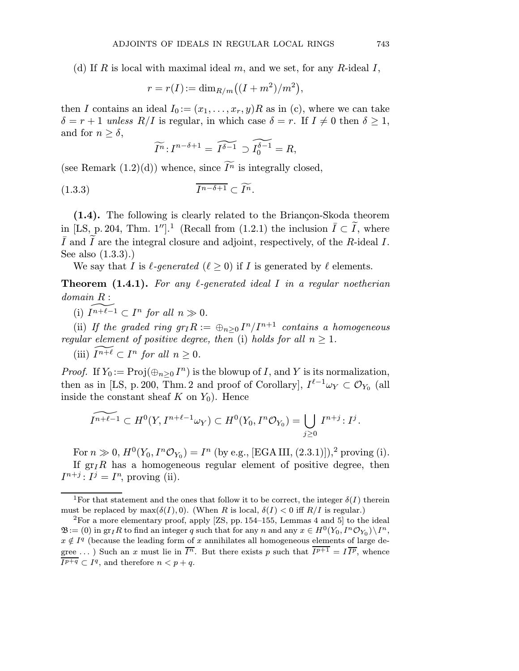(d) If R is local with maximal ideal  $m$ , and we set, for any R-ideal I,

TS OF IDEALS IN REGULAR LOCAL  
with maximal ideal m, and we set,  

$$
r = r(I) := \dim_{R/m}((I + m^2)/m^2)
$$
,

then I contains an ideal  $I_0:=(x_1,\ldots,x_r,y)R$  as in (c), where we can take  $\delta = r + 1$  unless  $R/I$  is regular, in which case  $\delta = r$ . If  $I \neq 0$  then  $\delta \geq 1$ , and for  $n > \delta$ ,

$$
\widetilde{I^n}: I^{n-\delta+1} = \widetilde{I^{\delta-1}} \supset \widetilde{I_0^{\delta-1}} = R,
$$

(see Remark  $(1.2)(d)$ ) whence, since  $I<sup>n</sup>$  is integrally closed,

$$
(1.3.3) \t\t \overline{I^{n-\delta+1}} \subset \widetilde{I^n}.
$$

 $(1.4)$ . The following is clearly related to the Briançon-Skoda theorem in [LS, p. 204, Thm. 1''].<sup>1</sup> (Recall from (1.2.1) the inclusion  $\overline{I} \subset \widetilde{I}$ , where  $\overline{I}$  and  $\widetilde{I}$  are the integral closure and adjoint, respectively, of the R-ideal I. See also (1.3.3).)

We say that I is  $\ell$ -generated  $(\ell > 0)$  if I is generated by  $\ell$  elements.

**Theorem (1.4.1).** For any  $\ell$ -generated ideal I in a regular noetherian domain R :

(i)  $\widetilde{I^{n+\ell-1}} \subset I^n$  for all  $n \gg 0$ .

(ii) If the graded ring  $gr_I R := \bigoplus_{n>0} I^n/I^{n+1}$  contains a homogeneous regular element of positive degree, then (i) holds for all  $n \geq 1$ .

(iii)  $\widetilde{I^{n+\ell}} \subset I^n$  for all  $n \geq 0$ .

*Proof.* If  $Y_0 := \text{Proj}(\bigoplus_{n\geq 0} I^n)$  is the blowup of *I*, and *Y* is its normalization,<br>then as in [LS, p. 200, Thm. 2 and proof of Corollary],  $I^{\ell-1}\omega_Y \subset \mathcal{O}_{Y_0}$  (all<br>inside the constant sheaf *K* on  $Y_0$ ). Henc then as in [LS, p. 200, Thm. 2 and proof of Corollary],  $I^{\ell-1}\omega_Y \subset \mathcal{O}_{Y_0}$  (all inside the constant sheaf  $K$  on  $Y_0$ ). Hence

$$
\widetilde{I^{n+\ell-1}}\subset H^0(Y,I^{n+\ell-1}\omega_Y)\subset H^0(Y_0,I^n\mathcal{O}_{Y_0})=\bigcup_{j\geq 0}I^{n+j}:I^j.
$$

For  $n \gg 0$ ,  $H^0(Y_0, I^n\mathcal{O}_{Y_0}) = I^n$  (by e.g., [EGAIII, (2.3.1)]),<sup>2</sup> proving (i). If  $gr_I R$  has a homogeneous regular element of positive degree, then  $I^{n+j}$ :  $I^j = I^n$ , proving (ii).

<sup>&</sup>lt;sup>1</sup>For that statement and the ones that follow it to be correct, the integer  $\delta(I)$  therein must be replaced by  $\max(\delta(I), 0)$ . (When R is local,  $\delta(I) < 0$  iff  $R/I$  is regular.)

<sup>&</sup>lt;sup>2</sup>For a more elementary proof, apply  $[ZS, pp. 154–155, Lemmas 4 and 5]$  to the ideal  $\mathfrak{B}:=(0)$  in gr<sub>I</sub>R to find an integer q such that for any n and any  $x \in H^0(Y_0, I^n \mathcal{O}_{Y_0})\backslash I^n$ ,  $x \notin I<sup>q</sup>$  (because the leading form of x annihilates all homogeneous elements of large degree ...) Such an x must lie in  $\overline{I^n}$ . But there exists p such that  $\overline{I^{p+1}} = I \overline{I^p}$ , whence  $\overline{I^{p+q}} \subset I^q$ , and therefore  $n < p+q$ .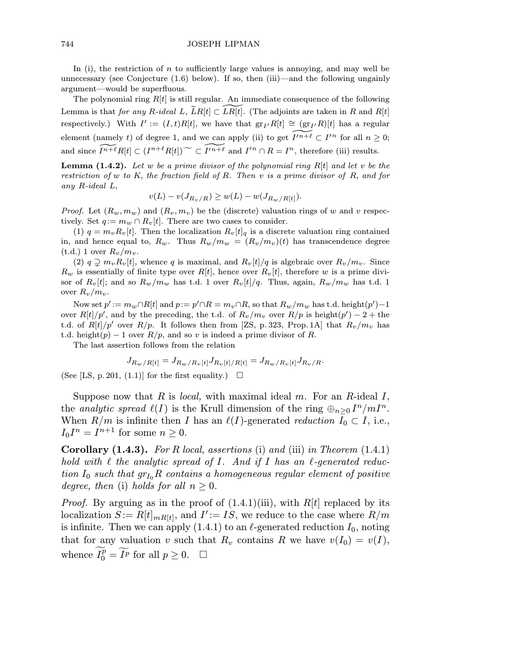744 JOSEPH LIPMAN

In (i), the restriction of  $n$  to sufficiently large values is annoying, and may well be unnecessary (see Conjecture  $(1.6)$  below). If so, then  $(iii)$ —and the following ungainly argument—would be superfluous.

The polynomial ring  $R[t]$  is still regular. An immediate consequence of the following Lemma is that for any R-ideal L,  $\widetilde{L}R[t] \subset LR[t]$ . (The adjoints are taken in R and R[t] respectively.) With  $I' := (I, t)R[t]$ , we have that  $gr_I/R[t] \cong (gr_I/R)[t]$  has a regular element (namely t) of degree 1, and we can apply (ii) to get  $I'^{n+\ell} \subset I'^n$  for all  $n \geq 0$ ; and since  $I^{n+\ell}R[t] \subset (I^{n+\ell}R[t]) \sim I'^{n+\ell}$  and  $I'^n \cap R = I^n$ , therefore (iii) results.

**Lemma (1.4.2).** Let w be a prime divisor of the polynomial ring  $R[t]$  and let v be the restriction of w to K, the fraction field of R. Then v is a prime divisor of R, and for any R-ideal L,

$$
v(L) - v(J_{R_v/R}) \ge w(L) - w(J_{R_w/R[t]}).
$$

*Proof.* Let  $(R_w, m_w)$  and  $(R_v, m_v)$  be the (discrete) valuation rings of w and v respectively. Set  $q := m_w \cap R_v[t]$ . There are two cases to consider.

(1)  $q = m_v R_v[t]$ . Then the localization  $R_v[t]_q$  is a discrete valuation ring contained in, and hence equal to,  $R_w$ . Thus  $R_w/m_w = (R_v/m_v)(t)$  has transcendence degree  $(t.d.)$  1 over  $R_v/m_v$ .

(2)  $q \supseteq m_v R_v[t]$ , whence q is maximal, and  $R_v[t]/q$  is algebraic over  $R_v/m_v$ . Since  $R_w$  is essentially of finite type over  $R[t]$ , hence over  $R_v[t]$ , therefore w is a prime divisor of  $R_v[t]$ ; and so  $R_w/m_w$  has t.d. 1 over  $R_v[t]/q$ . Thus, again,  $R_w/m_w$  has t.d. 1 over  $R_v/m_v$ .

Now set  $p' := m_w \cap R[t]$  and  $p := p' \cap R = m_v \cap R$ , so that  $R_w/m_w$  has t.d. height $(p')-1$ over  $R[t]/p'$ , and by the preceding, the t.d. of  $R_v/m_v$  over  $R/p$  is height $(p') - 2 +$  the t.d. of  $R[t]/p'$  over  $R/p$ . It follows then from [ZS, p. 323, Prop. 1A] that  $R_v/m_v$  has t.d. height(p) – 1 over  $R/p$ , and so v is indeed a prime divisor of R.

The last assertion follows from the relation

$$
J_{R_w/R[t]} = J_{R_w/R_v[t]} J_{R_v[t]/R[t]} = J_{R_w/R_v[t]} J_{R_v/R}
$$

(See [LS, p. 201, (1.1)] for the first equality.)  $\Box$ 

Suppose now that R is *local*, with maximal ideal m. For an R-ideal I, the analytic spread  $\ell(I)$  is the Krull dimension of the ring  $\bigoplus_{n>0} I^n/mI^n$ . When  $R/m$  is infinite then I has an  $\ell(I)$ -generated reduction  $I_0 \subset I$ , i.e.,  $I_0I^n = I^{n+1}$  for some  $n \geq 0$ .

**Corollary (1.4.3).** For R local, assertions (i) and (iii) in Theorem  $(1.4.1)$ hold with  $\ell$  the analytic spread of I. And if I has an  $\ell$ -generated reduction  $I_0$  such that  $gr_{I_0}R$  contains a homogeneous regular element of positive degree, then (i) holds for all  $n \geq 0$ .

*Proof.* By arguing as in the proof of  $(1.4.1)(iii)$ , with  $R[t]$  replaced by its localization  $S := R[t]_{mR[t]}$ , and  $I' := IS$ , we reduce to the case where  $R/m$ is infinite. Then we can apply (1.4.1) to an  $\ell$ -generated reduction  $I_0$ , noting that for any valuation v such that  $R_v$  contains R we have  $v(I_0) = v(I)$ , *Froof.* By arguing as in the proceduration  $S := R[t]_{mR[t]}$ , and  $I'$  is infinite. Then we can apply (1.4) that for any valuation v such the whence  $\widetilde{I_0^p} = \widetilde{I^p}$  for all  $p \ge 0$ .  $\Box$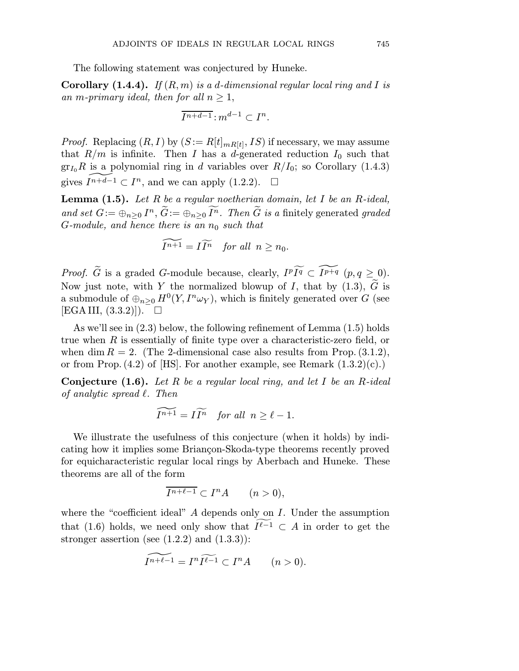The following statement was conjectured by Huneke.

**Corollary** (1.4.4). If  $(R, m)$  is a d-dimensional regular local ring and I is an m-primary ideal, then for all  $n \geq 1$ ,

$$
\overline{I^{n+d-1}}:m^{d-1}\subset I^n.
$$

*Proof.* Replacing  $(R, I)$  by  $(S := R[t]_{mR[t]}, IS)$  if necessary, we may assume that  $R/m$  is infinite. Then I has a d-generated reduction  $I_0$  such that  $gr_{I_0}R$  is a polynomial ring in d variables over  $R/I_0$ ; so Corollary (1.4.3) gives  $I^{n+\overline{d}-1} \subset I^n$ , and we can apply (1.2.2).  $\Box$ 

**Lemma (1.5).** Let R be a regular noetherian domain, let I be an R-ideal,  $\operatorname{gr}_{I_0} R$  is a polynomial ring in  $d$  v<br>gives  $\widehat{I^{n+d-1}} \subset I^n$ , and we can ap<br>**Lemma (1.5).** *Let R be a regular<br>and set*  $G := \bigoplus_{n \geq 0} I^n$ *,*  $\widetilde{G} := \bigoplus_{n \geq 0} \widehat{I}$ and set  $G := \bigoplus_{n>0} I^n$ ,  $\widetilde{G} := \bigoplus_{n>0} \widetilde{I^n}$ . Then  $\widetilde{G}$  is a finitely generated graded G-module, and hence there is an  $n_0$  such that

$$
\widetilde{I^{n+1}} = I\widetilde{I^n} \quad \text{for all} \ \ n \ge n_0.
$$

 $G$ -module, and hence there is an  $n_0$  such that<br>  $\widetilde{I^{n+1}} = I \widetilde{I^n}$  for all  $n \ge n_0$ .<br>
Proof.  $\widetilde{G}$  is a graded G-module because, clearly,  $I^p \widetilde{I^q} \subset \widetilde{I^{p+q}}$   $(p, q \ge 0)$ .  $\widetilde{I^{n+1}} = I \widetilde{I^n}$  for all  $n \ge n_0$ .<br> *Proof.*  $\widetilde{G}$  is a graded *G*-module because, clearly,  $I^p \widetilde{I^q} \subset \widetilde{I^{p+q}}$   $(p, q \ge 0)$ .<br>
Now just note, with *Y* the normalized blowup of *I*, that by (1.3),  $\widetilde{G}$ a submodule of  $\bigoplus_{n>0} H^0(Y, I^n \omega_Y)$ , which is finitely generated over G (see  $[EGA III, (3.3.2)]$ .  $\Box$ 

As we'll see in (2.3) below, the following refinement of Lemma (1.5) holds true when  $R$  is essentially of finite type over a characteristic-zero field, or when dim  $R = 2$ . (The 2-dimensional case also results from Prop. (3.1.2), or from Prop.  $(4.2)$  of [HS]. For another example, see Remark  $(1.3.2)(c)$ .)

**Conjecture (1.6).** Let R be a regular local ring, and let I be an R-ideal of analytic spread  $\ell$ . Then

$$
\widetilde{I^{n+1}} = I \widetilde{I^n} \quad \text{for all} \ \ n \ge \ell - 1.
$$

We illustrate the usefulness of this conjecture (when it holds) by indicating how it implies some Briançon-Skoda-type theorems recently proved for equicharacteristic regular local rings by Aberbach and Huneke. These theorems are all of the form

$$
\overline{I^{n+\ell-1}} \subset I^n A \qquad (n>0),
$$

where the "coefficient ideal"  $A$  depends only on  $I$ . Under the assumption that (1.6) holds, we need only show that  $I^{\ell-1} \subset A$  in order to get the stronger assertion (see  $(1.2.2)$  and  $(1.3.3)$ ):

$$
\widetilde{I^{n+\ell-1}} = I^n \widetilde{I^{\ell-1}} \subset I^n A \qquad (n>0).
$$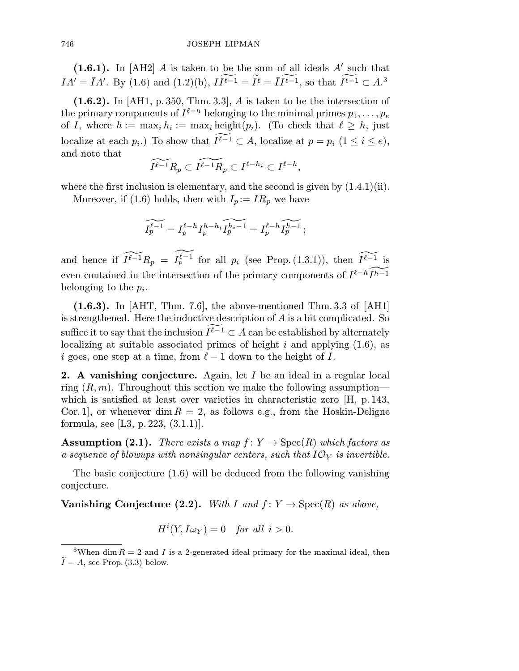$(1.6.1)$ . In [AH2] A is taken to be the sum of all ideals A' such that 746 JOSEPH LIPMAN<br>
(1.6.1). In [AH2] *A* is taken to be the sum of all ideals *A'* such that  $IA' = \overline{I}A'$ . By (1.6) and (1.2)(b),  $I\overline{I^{\ell-1}} = \overline{I}^{\ell} = \overline{I}\overline{I^{\ell-1}}$ , so that  $\overline{I^{\ell-1}} \subset A$ .<sup>3</sup>

 $(1.6.2)$ . In [AH1, p. 350, Thm. 3.3], A is taken to be the intersection of the primary components of  $I^{\ell-h}$  belonging to the minimal primes  $p_1,\ldots,p_e$ of I, where  $h := \max_i h_i := \max_i \text{height}(p_i)$ . (To check that  $\ell \geq h$ , just localize at each  $p_i$ .) To show that  $I^{\ell-1} \subset A$ , localize at  $p = p_i$   $(1 \le i \le e)$ , and note that

$$
\widetilde{I^{\ell-1}R_p} \subset \widetilde{I^{\ell-1}R_p} \subset I^{\ell-h_i} \subset I^{\ell-h},
$$

where the first inclusion is elementary, and the second is given by  $(1.4.1)(ii)$ .

Moreover, if (1.6) holds, then with  $I_p := IR_p$  we have

$$
\widetilde{I_p^{\ell-1}} = I_p^{\ell-h} I_p^{h-h_i} \widetilde{I_p^{h_i-1}} = I_p^{\ell-h} \widetilde{I_p^{h-1}};
$$

and hence if  $\widetilde{I^{\ell-1}R_p} = I_p^{\ell-1}$  for all  $p_i$  (see Prop. (1.3.1)), then  $\widetilde{I^{\ell-1}}$  is even contained in the intersection of the primary components of  $I^{\ell-h} \tilde{I}^{h-1}$ belonging to the  $p_i$ .

 $(1.6.3)$ . In  $[AHT, Thm. 7.6]$ , the above-mentioned Thm. 3.3 of  $[AH1]$ is strengthened. Here the inductive description of  $A$  is a bit complicated. So suffice it to say that the inclusion  $I^{\ell-1} \subset A$  can be established by alternately localizing at suitable associated primes of height i and applying  $(1.6)$ , as i goes, one step at a time, from  $\ell - 1$  down to the height of I.

**2.** A vanishing conjecture. Again, let  $I$  be an ideal in a regular local ring  $(R, m)$ . Throughout this section we make the following assumption which is satisfied at least over varieties in characteristic zero [H, p. 143, Cor. 1, or whenever dim  $R = 2$ , as follows e.g., from the Hoskin-Deligne formula, see [L3, p. 223, (3.1.1)].

**Assumption (2.1).** There exists a map  $f: Y \to \text{Spec}(R)$  which factors as a sequence of blowups with nonsingular centers, such that  $I\mathcal{O}_Y$  is invertible.

The basic conjecture (1.6) will be deduced from the following vanishing conjecture.

**Vanishing Conjecture (2.2).** With I and  $f: Y \to \text{Spec}(R)$  as above,

 $H^{i}(Y, I\omega_{Y})=0$  for all  $i > 0$ .

<sup>&</sup>lt;sup>3</sup>When dim  $R = 2$  and I is a 2-generated ideal primary for the maximal ideal, then  $I = A$ , see Prop. (3.3) below.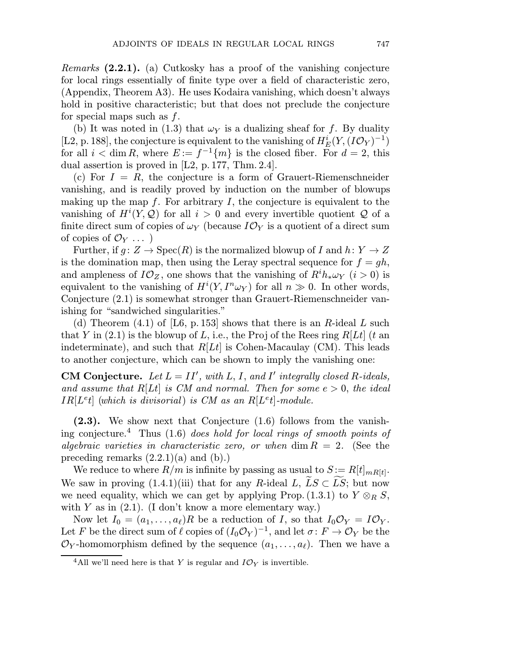*Remarks*  $(2.2.1)$ . (a) Cutkosky has a proof of the vanishing conjecture for local rings essentially of finite type over a field of characteristic zero, (Appendix, Theorem A3). He uses Kodaira vanishing, which doesn't always hold in positive characteristic; but that does not preclude the conjecture for special maps such as  $f$ .

(b) It was noted in (1.3) that  $\omega_Y$  is a dualizing sheaf for f. By duality [L2, p. 188], the conjecture is equivalent to the vanishing of  $H_E^i(Y,(I\mathcal{O}_Y)^{-1})$ for all  $i < \dim R$ , where  $E := f^{-1}\{m\}$  is the closed fiber. For  $d = 2$ , this dual assertion is proved in [L2, p. 177, Thm. 2.4].

(c) For  $I = R$ , the conjecture is a form of Grauert-Riemenschneider vanishing, and is readily proved by induction on the number of blowups making up the map  $f$ . For arbitrary  $I$ , the conjecture is equivalent to the vanishing of  $H^{i}(Y, Q)$  for all  $i > 0$  and every invertible quotient Q of a finite direct sum of copies of  $\omega_Y$  (because  $I\mathcal{O}_Y$  is a quotient of a direct sum of copies of  $\mathcal{O}_Y$ ...

Further, if  $g: Z \to \mathrm{Spec}(R)$  is the normalized blowup of I and  $h: Y \to Z$ is the domination map, then using the Leray spectral sequence for  $f = gh$ , and ampleness of  $I\mathcal{O}_Z$ , one shows that the vanishing of  $R^i h_* \omega_Y$   $(i > 0)$  is equivalent to the vanishing of  $H^{i}(Y, I^{n} \omega_{Y})$  for all  $n \gg 0$ . In other words, Conjecture (2.1) is somewhat stronger than Grauert-Riemenschneider vanishing for "sandwiched singularities."

(d) Theorem (4.1) of [L6, p. 153] shows that there is an R-ideal L such that Y in  $(2.1)$  is the blowup of L, i.e., the Proj of the Rees ring R[Lt] (t an indeterminate), and such that  $R[Lt]$  is Cohen-Macaulay (CM). This leads to another conjecture, which can be shown to imply the vanishing one:

**CM Conjecture.** Let  $L = II'$ , with L, I, and I' integrally closed R-ideals, and assume that  $R[Lt]$  is CM and normal. Then for some  $e > 0$ , the ideal  $IR[Leq]$  (which is divisorial) is CM as an  $R[Leq]$ -module.

(2.3). We show next that Conjecture (1.6) follows from the vanishing conjecture.<sup>4</sup> Thus (1.6) does hold for local rings of smooth points of algebraic varieties in characteristic zero, or when  $\dim R = 2$ . (See the preceding remarks  $(2.2.1)(a)$  and  $(b).$ ing conjecture. Thus (1.6) does notally for tocal rings of smooth points of algebraic varieties in characteristic zero, or when dim  $R = 2$ . (See the preceding remarks (2.2.1)(a) and (b).)<br>We reduce to where  $R/m$  is infini

We reduce to where  $R/m$  is infinite by passing as usual to  $S := R[t]_{mR[t]}$ . we need equality, which we can get by applying Prop. (1.3.1) to  $Y \otimes_R S$ , with Y as in  $(2.1)$ . (I don't know a more elementary way.)

Now let  $I_0 = (a_1, \ldots, a_\ell)R$  be a reduction of I, so that  $I_0\mathcal{O}_Y = I\mathcal{O}_Y$ . Let F be the direct sum of  $\ell$  copies of  $(I_0\mathcal{O}_Y)^{-1}$ , and let  $\sigma: F \to \mathcal{O}_Y$  be the  $\mathcal{O}_Y$ -homomorphism defined by the sequence  $(a_1,\ldots,a_\ell)$ . Then we have a

<sup>&</sup>lt;sup>4</sup>All we'll need here is that Y is regular and  $I\mathcal{O}_Y$  is invertible.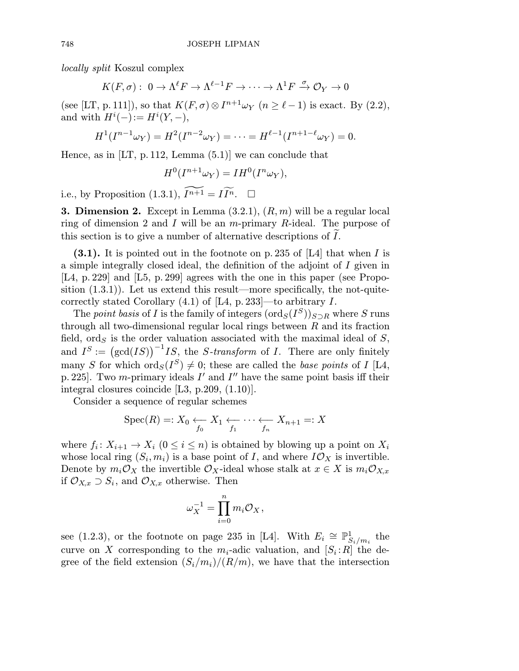locally split Koszul complex

$$
K(F,\sigma): 0 \to \Lambda^{\ell}F \to \Lambda^{\ell-1}F \to \cdots \to \Lambda^1F \xrightarrow{\sigma} \mathcal{O}_Y \to 0
$$

(see [LT, p. 111]), so that  $K(F,\sigma) \otimes I^{n+1}\omega_Y$   $(n \geq \ell-1)$  is exact. By (2.2), and with  $H^i(-) := H^i(Y, -),$ 

$$
H^{1}(I^{n-1}\omega_{Y})=H^{2}(I^{n-2}\omega_{Y})=\cdots=H^{\ell-1}(I^{n+1-\ell}\omega_{Y})=0.
$$

Hence, as in  $[LT, p. 112, Lemma (5.1)]$  we can conclude that

$$
H^0(I^{n+1}\omega_Y) = IH^0(I^n\omega_Y),
$$

i.e., by Proposition (1.3.1),  $I^{n+1} = I \widetilde{I^n}$ .  $\Box$ 

**3. Dimension 2.** Except in Lemma  $(3.2.1), (R, m)$  will be a regular local ring of dimension 2 and I will be an *m*-primary R-ideal. The purpose of this section is to give a number of alternative descriptions of I .

 $(3.1)$ . It is pointed out in the footnote on p. 235 of [L4] that when I is a simple integrally closed ideal, the definition of the adjoint of I given in [L4, p. 229] and [L5, p. 299] agrees with the one in this paper (see Proposition  $(1.3.1)$ ). Let us extend this result—more specifically, the not-quitecorrectly stated Corollary  $(4.1)$  of [L4, p. 233]—to arbitrary I.

The *point basis* of I is the family of integers  $(\text{ord}_S(I^S))_{S\supset R}$  where S runs through all two-dimensional regular local rings between  $R$  and its fraction field, ord $_S$  is the order valuation associated with the maximal ideal of  $S$ , correctly stated Corollary (4.1) of [L4, p. 233]—to arbitrary *I*.<br>
The *point basis* of *I* is the family of integers  $(\text{ord}_S(I^S))_{S \supset R}$  where *S* runs<br>
through all two-dimensional regular local rings between *R* and it many S for which  $\text{ord}_S(I^S) \neq 0$ ; these are called the *base points* of I [L4, p. 225]. Two m-primary ideals  $I'$  and  $I''$  have the same point basis iff their integral closures coincide [L3, p.209, (1.10)].

Consider a sequence of regular schemes

$$
\operatorname{Spec}(R) =: X_0 \underset{f_0}{\longleftarrow} X_1 \underset{f_1}{\longleftarrow} \cdots \underset{f_n}{\longleftarrow} X_{n+1} =: X
$$

where  $f_i: X_{i+1} \to X_i$   $(0 \leq i \leq n)$  is obtained by blowing up a point on  $X_i$ whose local ring  $(S_i, m_i)$  is a base point of *I*, and where  $I\mathcal{O}_X$  is invertible.<br>Denote by  $m_i \mathcal{O}_X$  the invertible  $\mathcal{O}_X$ -ideal whose stalk at  $x \in X$  is  $m_i \mathcal{O}_{X,x}$ <br>if  $\mathcal{O}_{X,x} \supset S_i$ , and  $\mathcal{O}_{X,x}$  otherw Denote by  $m_i\mathcal{O}_X$  the invertible  $\mathcal{O}_X$ -ideal whose stalk at  $x \in X$  is  $m_i\mathcal{O}_{X,x}$ if  $\mathcal{O}_{X,x} \supset S_i$ , and  $\mathcal{O}_{X,x}$  otherwise. Then

$$
\omega_X^{-1} = \prod_{i=0}^n m_i \mathcal{O}_X,
$$

see (1.2.3), or the footnote on page 235 in [L4]. With  $E_i \cong \mathbb{P}^1_{S_i/m_i}$  the curve on X corresponding to the  $m_i$ -adic valuation, and  $[S_i:R]$  the degree of the field extension  $(S_i/m_i)/(R/m)$ , we have that the intersection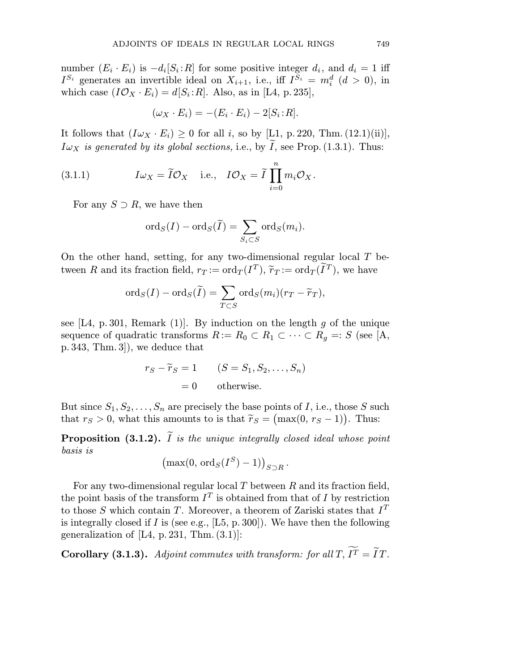number  $(E_i \cdot E_i)$  is  $-d_i[S_i : R]$  for some positive integer  $d_i$ , and  $d_i = 1$  iff  $I^{S_i}$  generates an invertible ideal on  $X_{i+1}$ , i.e., iff  $I^{S_i} = m_i^d$   $(d > 0)$ , in which case  $(I\mathcal{O}_X \cdot E_i) = d[S_i : R]$ . Also, as in [L4, p. 235],

$$
(\omega_X \cdot E_i) = -(E_i \cdot E_i) - 2[S_i : R].
$$

It follows that  $(I\omega_X \cdot E_i) \geq 0$  for all *i*, so by [L1, p. 220, Thm. (12.1)(ii)],  $I\omega_X$  is generated by its global sections, i.e., by I, see Prop. (1.3.1). Thus:

(3.1.1) 
$$
I\omega_X = \tilde{I}\mathcal{O}_X
$$
 i.e.,  $I\mathcal{O}_X = \tilde{I} \prod_{i=0}^n m_i \mathcal{O}_X$ .  
For any  $S \supset R$ , we have then  

$$
\text{ord}_S(I) - \text{ord}_S(\tilde{I}) = \sum \text{ord}_S(m_i).
$$

For any  $S \supset R$ , we have then

$$
\mathrm{ord}_S(I)-\mathrm{ord}_S(\widetilde{I})=\sum_{S_i\subset S}\mathrm{ord}_S(m_i).
$$

On the other hand, setting, for any two-dimensional regular local  $T$  be- $\operatorname{ord}_S(I) - \operatorname{ord}_S(I) = \sum_{S_i \subset S} \operatorname{ord}_S(m_i).$ <br>On the other hand, setting, for any two-dimensional regular local  $T$  l<br>tween  $R$  and its fraction field,  $r_T := \operatorname{ord}_T(I^T)$ ,  $\widetilde{r}_T := \operatorname{ord}_T(\widetilde{I}^T)$ , we have  $s_i\in S\ \cdot \text{ any two-dimensional regul}\ T:=\text{ord}_T(I^T),\ \widetilde{r}_T:=\text{ord}_T(\widetilde{I})\ =\ \sum \text{ord}_S(m_i)(r_T-\widetilde{r}_T),$ 

$$
\mathrm{ord}_S(I) - \mathrm{ord}_S(\widetilde{I}) = \sum_{T \subset S} \mathrm{ord}_S(m_i)(r_T - \widetilde{r}_T),
$$

see  $[L4, p. 301, Remark (1)]$ . By induction on the length g of the unique sequence of quadratic transforms  $R := R_0 \subset R_1 \subset \cdots \subset R_g =: S$  (see [A, p. 343, Thm. 3]), we deduce that mark (1)]. By induction on the lengtic transforms  $R := R_0 \subset R_1 \subset \cdots$ <br>
e deduce that<br>  $r_S - \widetilde{r}_S = 1$  (S = S<sub>1</sub>, S<sub>2</sub>, ..., S<sub>n</sub>)

$$
r_S - \widetilde{r}_S = 1 \qquad (S = S_1, S_2, \dots, S_n)
$$

$$
= 0 \qquad \text{otherwise.}
$$

But since  $S_1, S_2, \ldots, S_n$  are precisely the base points of I, i.e., those S such  $r_S - \widetilde{r}_S = 1$   $(S = S_1, S_2, \dots, S_n)$ <br>
= 0 otherwise.<br>
But since  $S_1, S_2, \dots, S_n$  are precisely the base points of *I*, i.e., tho<br>
that  $r_S > 0$ , what this amounts to is that  $\widetilde{r}_S = (\max(0, r_S - 1))$ that  $r_S > 0$ , what this amounts to is that  $\tilde{r}_S = (\max(0, r_S - 1))$ . Thus:  $\iota$ 

**Proposition (3.1.2).** I is the unique integrally closed ideal whose point basis is are precisely the base  $\overline{I}$ <br>imounts to is that  $\widetilde{r}_S = \overline{I}$  is the unique integror<br>max(0, ord<sub>S</sub>( $I^S$ ) – 1))

$$
\left(\max(0, \operatorname{ord}_S(I^S) - 1)\right)_{S \supset R}.
$$

For any two-dimensional regular local  $T$  between  $R$  and its fraction field, the point basis of the transform  $I<sup>T</sup>$  is obtained from that of I by restriction to those S which contain T. Moreover, a theorem of Zariski states that  $I<sup>T</sup>$ is integrally closed if  $I$  is (see e.g., [L5, p. 300]). We have then the following generalization of  $[L4, p.231, Thm. (3.1)]$ : to those S which contain T. Moreover, a theorem of Zariski states that  $I<sup>T</sup>$  is integrally closed if I is (see e.g., [L5, p. 300]). We have then the following generalization of [L4, p. 231, Thm. (3.1)]:<br>**Corollary (3.**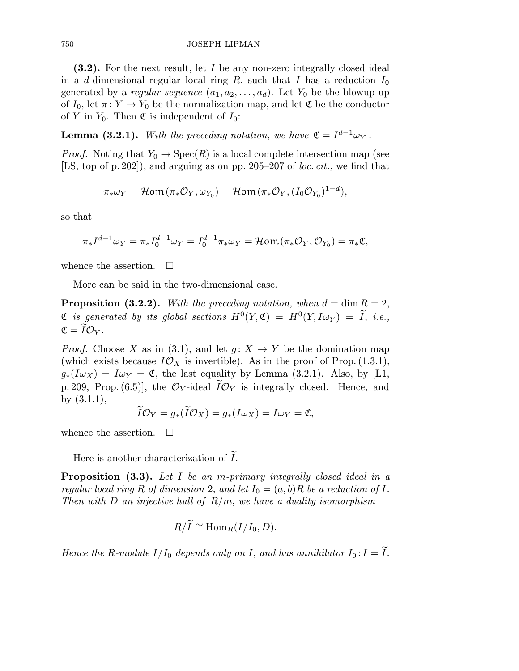## 750 JOSEPH LIPMAN

(3.2). For the next result, let I be any non-zero integrally closed ideal in a d-dimensional regular local ring R, such that I has a reduction  $I_0$ generated by a *regular sequence*  $(a_1, a_2, \ldots, a_d)$ . Let  $Y_0$  be the blowup up of  $I_0$ , let  $\pi: Y \to Y_0$  be the normalization map, and let  $\mathfrak C$  be the conductor of Y in  $Y_0$ . Then  $\mathfrak C$  is independent of  $I_0$ :

**Lemma (3.2.1).** With the preceding notation, we have  $\mathfrak{C} = I^{d-1}\omega_Y$ .

*Proof.* Noting that  $Y_0 \to \text{Spec}(R)$  is a local complete intersection map (see [LS, top of p. 202]), and arguing as on pp. 205–207 of *loc. cit.*, we find that

$$
\pi_* \omega_Y = \mathcal{H}om(\pi_* \mathcal{O}_Y, \omega_{Y_0}) = \mathcal{H}om(\pi_* \mathcal{O}_Y, (I_0 \mathcal{O}_{Y_0})^{1-d}),
$$

so that

$$
\pi_* I^{d-1} \omega_Y = \pi_* I_0^{d-1} \omega_Y = I_0^{d-1} \pi_* \omega_Y = \mathcal{H} \text{om} \left( \pi_* \mathcal{O}_Y, \mathcal{O}_{Y_0} \right) = \pi_* \mathfrak{C},
$$

whence the assertion.  $\Box$ 

More can be said in the two-dimensional case.

**Proposition (3.2.2).** With the preceding notation, when  $d = \dim R = 2$ ,  $\mathfrak C$  is generated by its global sections  $H^0(Y,\mathfrak C) = H^0(Y,I\omega_Y) = \widetilde{I}$ , i.e.,  $\mathfrak{C}=I\mathcal{O}_Y$  .

*Proof.* Choose X as in (3.1), and let  $g: X \to Y$  be the domination map (which exists because  $I\mathcal{O}_X$  is invertible). As in the proof of Prop. (1.3.1), (which cases because  $\mathcal{L} \times \mathcal{L}$  is invertible). As in the proof of Frop. (1.0.1),<br>  $g_*(I\omega_X) = I\omega_Y = \mathfrak{C}$ , the last equality by Lemma (3.2.1). Also, by [L1, p. 209, Prop.  $(6.5)$ , the  $\mathcal{O}_Y$ -ideal  $I\mathcal{O}_Y$  is integrally closed. Hence, and eby (3.1.1),

$$
\tilde{I}\mathcal{O}_Y=g_*(\tilde{I}\mathcal{O}_X)=g_*(I\omega_X)=I\omega_Y=\mathfrak{C},
$$

whence the assertion.  $\Box$ 

Here is another characterization of I .

**Proposition (3.3).** Let I be an m-primary integrally closed ideal in a regular local ring R of dimension 2, and let  $I_0 = (a, b)R$  be a reduction of I. Then with D an injective hull of  $R/m$ , we have a duality isomorphism

$$
R/\widetilde{I} \cong \mathrm{Hom}_R(I/I_0,D).
$$

Hence the R-module  $I/I_0$  depends only on I, and has annihilator  $I_0$ :  $I = I$ .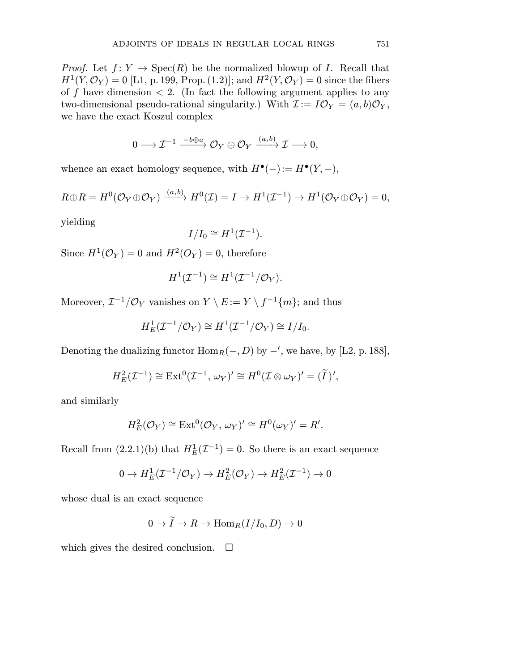*Proof.* Let  $f: Y \to \text{Spec}(R)$  be the normalized blowup of I. Recall that  $H^1(Y, \mathcal{O}_Y) = 0$  [L1, p. 199, Prop. (1.2)]; and  $H^2(Y, \mathcal{O}_Y) = 0$  since the fibers of f have dimension  $\langle 2. \rangle$  (In fact the following argument applies to any two-dimensional pseudo-rational singularity.) With  $\mathcal{I} := I \mathcal{O}_Y = (a, b) \mathcal{O}_Y$ , we have the exact Koszul complex

$$
0\longrightarrow \mathcal{I}^{-1}\stackrel{-b\oplus a}{\longrightarrow} \mathcal{O}_Y\oplus \mathcal{O}_Y\stackrel{(a,b)}{\longrightarrow} \mathcal{I}\longrightarrow 0,
$$

whence an exact homology sequence, with  $H^{\bullet}(-) := H^{\bullet}(Y, -),$ 

$$
R\oplus R = H^0(\mathcal{O}_Y \oplus \mathcal{O}_Y) \xrightarrow{(a,b)} H^0(\mathcal{I}) = I \to H^1(\mathcal{I}^{-1}) \to H^1(\mathcal{O}_Y \oplus \mathcal{O}_Y) = 0,
$$

yielding

$$
I/I_0\cong H^1(\mathcal{I}^{-1}).
$$

Since  $H^1(\mathcal{O}_Y) = 0$  and  $H^2(O_Y) = 0$ , therefore

$$
H^1(\mathcal{I}^{-1}) \cong H^1(\mathcal{I}^{-1}/\mathcal{O}_Y).
$$

Moreover,  $\mathcal{I}^{-1}/\mathcal{O}_Y$  vanishes on  $Y \setminus E := Y \setminus f^{-1}\{m\}$ ; and thus

$$
H_E^1(\mathcal{I}^{-1}/\mathcal{O}_Y) \cong H^1(\mathcal{I}^{-1}/\mathcal{O}_Y) \cong I/I_0.
$$

Denoting the dualizing functor  $\operatorname{Hom}_R(-, D)$  by  $-'$ , we have, by [L2, p. 188],

$$
H_E^2(\mathcal{I}^{-1}) \cong \text{Ext}^0(\mathcal{I}^{-1}, \omega_Y)' \cong H^0(\mathcal{I} \otimes \omega_Y)' = (\widetilde{I})',
$$

and similarly

$$
H_E^2(\mathcal{O}_Y) \cong \text{Ext}^0(\mathcal{O}_Y, \, \omega_Y)' \cong H^0(\omega_Y)' = R'.
$$

Recall from  $(2.2.1)(b)$  that  $H_E^1(\mathcal{I}^{-1}) = 0$ . So there is an exact sequence

$$
0 \to H_E^1(\mathcal{I}^{-1}/\mathcal{O}_Y) \to H_E^2(\mathcal{O}_Y) \to H_E^2(\mathcal{I}^{-1}) \to 0
$$

whose dual is an exact sequence

$$
0 \to I \to R \to \operatorname{Hom}_R(I/I_0,D) \to 0
$$

which gives the desired conclusion.  $\square$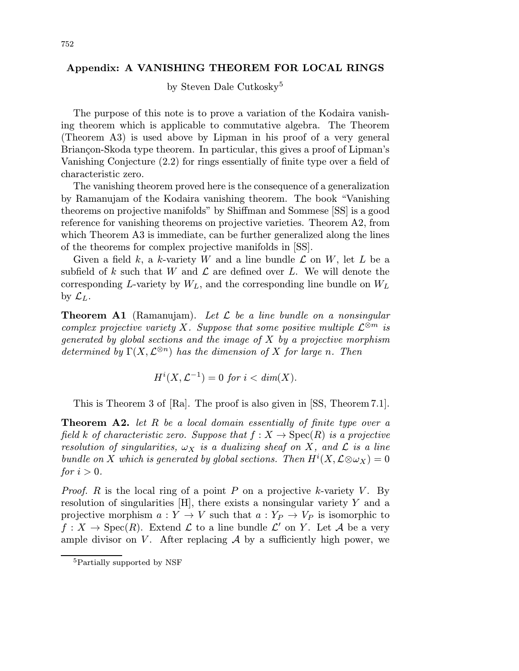## Appendix: A VANISHING THEOREM FOR LOCAL RINGS

by Steven Dale Cutkosky<sup>5</sup>

The purpose of this note is to prove a variation of the Kodaira vanishing theorem which is applicable to commutative algebra. The Theorem (Theorem A3) is used above by Lipman in his proof of a very general Briançon-Skoda type theorem. In particular, this gives a proof of Lipman's Vanishing Conjecture (2.2) for rings essentially of finite type over a field of characteristic zero.

The vanishing theorem proved here is the consequence of a generalization by Ramanujam of the Kodaira vanishing theorem. The book "Vanishing theorems on projective manifolds" by Shiffman and Sommese [SS] is a good reference for vanishing theorems on projective varieties. Theorem A2, from which Theorem A3 is immediate, can be further generalized along the lines of the theorems for complex projective manifolds in [SS].

Given a field k, a k-variety W and a line bundle  $\mathcal L$  on W, let L be a subfield of k such that W and  $\mathcal L$  are defined over L. We will denote the corresponding L-variety by  $W_L$ , and the corresponding line bundle on  $W_L$ by  $\mathcal{L}_L$ .

**Theorem A1** (Ramanujam). Let  $\mathcal{L}$  be a line bundle on a nonsingular complex projective variety X. Suppose that some positive multiple  $\mathcal{L}^{\otimes m}$  is generated by global sections and the image of  $X$  by a projective morphism determined by  $\Gamma(X, \mathcal{L}^{\otimes n})$  has the dimension of X for large n. Then

$$
H^i(X, \mathcal{L}^{-1}) = 0 \text{ for } i < \dim(X).
$$

This is Theorem 3 of [Ra]. The proof is also given in [SS, Theorem 7.1].

**Theorem A2.** let R be a local domain essentially of finite type over a field k of characteristic zero. Suppose that  $f: X \to \text{Spec}(R)$  is a projective resolution of singularities,  $\omega_X$  is a dualizing sheaf on X, and  $\mathcal L$  is a line bundle on X which is generated by global sections. Then  $H^{i}(X,\mathcal{L}\otimes \omega_{X})=0$ for  $i > 0$ .

*Proof.* R is the local ring of a point P on a projective k-variety V. By resolution of singularities  $[H]$ , there exists a nonsingular variety Y and a projective morphism  $a: Y \to V$  such that  $a: Y_P \to V_P$  is isomorphic to  $f: X \to \text{Spec}(R)$ . Extend  $\mathcal L$  to a line bundle  $\mathcal L'$  on Y. Let A be a very ample divisor on V. After replacing  $A$  by a sufficiently high power, we

<sup>5</sup>Partially supported by NSF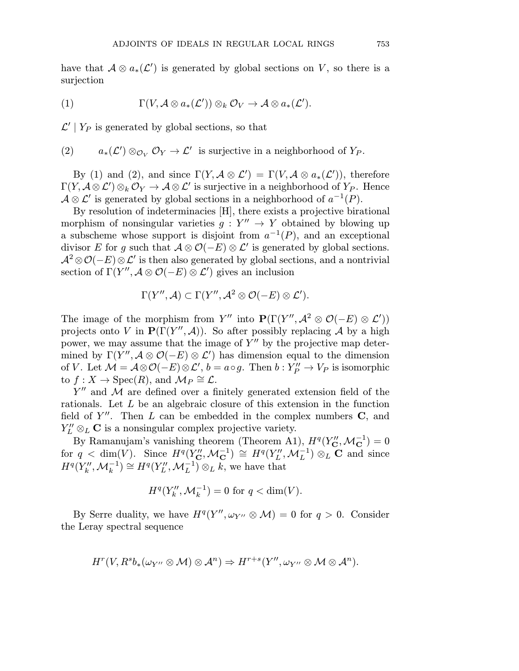have that  $A \otimes a_*(\mathcal{L}')$  is generated by global sections on V, so there is a surjection

(1) 
$$
\Gamma(V, \mathcal{A} \otimes a_*(\mathcal{L}')) \otimes_k \mathcal{O}_V \to \mathcal{A} \otimes a_*(\mathcal{L}').
$$

 $\mathcal{L}' | Y_P$  is generated by global sections, so that

(2)  $a_*(\mathcal{L}') \otimes_{\mathcal{O}_V} \mathcal{O}_Y \to \mathcal{L}'$  is surjective in a neighborhood of  $Y_P$ .

By (1) and (2), and since  $\Gamma(Y, \mathcal{A} \otimes \mathcal{L}') = \Gamma(V, \mathcal{A} \otimes a_*(\mathcal{L}'))$ , therefore  $\Gamma(Y,{\cal A}\otimes{\cal L}')\otimes_k {\cal O}_Y \to {\cal A}\otimes{\cal L}'$  is surjective in a neighborhood of  $Y_P.$  Hence  $A \otimes \mathcal{L}'$  is generated by global sections in a neighborhood of  $a^{-1}(P)$ .

By resolution of indeterminacies [H], there exists a projective birational morphism of nonsingular varieties  $g: Y'' \to Y$  obtained by blowing up a subscheme whose support is disjoint from  $a^{-1}(P)$ , and an exceptional divisor E for g such that  $A \otimes \mathcal{O}(-E) \otimes \mathcal{L}'$  is generated by global sections.  $\mathcal{A}^2 \otimes \mathcal{O}(-E) \otimes \mathcal{L}'$  is then also generated by global sections, and a nontrivial section of  $\Gamma(Y'',{\cal A}\otimes{\cal O}(-E)\otimes{\cal L}')$  gives an inclusion

$$
\Gamma(Y'',\mathcal{A}) \subset \Gamma(Y'',\mathcal{A}^2 \otimes \mathcal{O}(-E) \otimes \mathcal{L}').
$$

The image of the morphism from Y'' into  $\mathbf{P}(\Gamma(Y'', \mathcal{A}^2 \otimes \mathcal{O}(-E) \otimes \mathcal{L}'))$ projects onto V in  $\mathbf{P}(\Gamma(Y'', \mathcal{A}))$ . So after possibly replacing A by a high power, we may assume that the image of  $Y''$  by the projective map determined by  $\Gamma(Y'',{\cal A}\otimes{\cal O}(-E)\otimes{\cal L}')$  has dimension equal to the dimension of V. Let  $\mathcal{M} = \mathcal{A} \otimes \mathcal{O}(-E) \otimes \mathcal{L}', b = a \circ g$ . Then  $b: Y''_P \to V_P$  is isomorphic to  $f: X \to \text{Spec}(R)$ , and  $\mathcal{M}_P \cong \mathcal{L}$ .

 $Y''$  and M are defined over a finitely generated extension field of the rationals. Let L be an algebraic closure of this extension in the function field of  $Y''$ . Then L can be embedded in the complex numbers C, and  $Y_L'' \otimes_L \mathbf{C}$  is a nonsingular complex projective variety.

By Ramanujam's vanishing theorem (Theorem A1),  $H^q(Y''_{\mathbf{C}}, \mathcal{M}_{\mathbf{C}}^{-1}) = 0$ for  $q < \dim(V)$ . Since  $H^q(Y''_{\mathbf{C}}, \mathcal{M}_{\mathbf{C}}^{-1}) \cong H^q(Y''_L, \mathcal{M}_L^{-1}) \otimes_L \mathbf{C}$  and since  $H^q(Y_k'', \mathcal{M}_k^{-1}) \cong H^q(Y_L'', \mathcal{M}_L^{-1}) \otimes_L k$ , we have that

$$
H^q(Y_k'', \mathcal{M}_k^{-1}) = 0
$$
 for  $q < \dim(V)$ .

By Serre duality, we have  $H^q(Y'', \omega_{Y''} \otimes M) = 0$  for  $q > 0$ . Consider the Leray spectral sequence

$$
H^r(V, R^s b_*(\omega_{Y''}\otimes \mathcal{M})\otimes \mathcal{A}^n)\Rightarrow H^{r+s}(Y'', \omega_{Y''}\otimes \mathcal{M}\otimes \mathcal{A}^n).
$$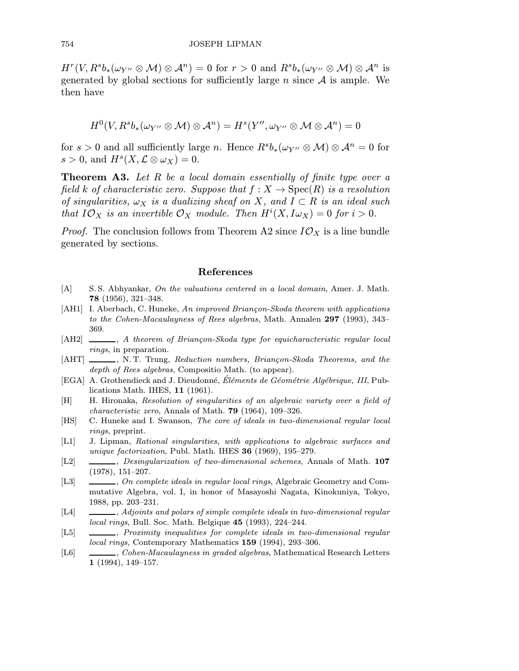$H^r(V,R^sb_*(\omega_{Y''}\otimes M)\otimes A^n)=0$  for  $r>0$  and  $R^sb_*(\omega_{Y''}\otimes M)\otimes A^n$  is generated by global sections for sufficiently large n since  $A$  is ample. We then have

$$
H^{0}(V, R^{s}b_{*}(\omega_{Y''}\otimes M)\otimes \mathcal{A}^{n})=H^{s}(Y'', \omega_{Y''}\otimes M\otimes \mathcal{A}^{n})=0
$$

for s > 0 and all sufficiently large n. Hence  $R^{s}b_{*}(\omega_{Y''}\otimes M)\otimes \mathcal{A}^{n}=0$  for  $s > 0$ , and  $H^s(X, \mathcal{L} \otimes \omega_X) = 0$ .

**Theorem A3.** Let  $R$  be a local domain essentially of finite type over a field k of characteristic zero. Suppose that  $f : X \to \text{Spec}(R)$  is a resolution of singularities,  $\omega_X$  is a dualizing sheaf on X, and  $I \subset R$  is an ideal such that  $I\mathcal{O}_X$  is an invertible  $\mathcal{O}_X$  module. Then  $H^i(X, I\omega_X) = 0$  for  $i > 0$ .

*Proof.* The conclusion follows from Theorem A2 since  $I\mathcal{O}_X$  is a line bundle generated by sections.

## References

- [A] S. S. Abhyankar, On the valuations centered in a local domain, Amer. J. Math. 78 (1956), 321–348.
- [AH1] I. Aberbach, C. Huneke, An improved Briancon-Skoda theorem with applications to the Cohen-Macaulayness of Rees algebras, Math. Annalen 297 (1993), 343– 369.
- $[AH2] \longrightarrow$ , A theorem of Briançon-Skoda type for equicharacteristic regular local rings, in preparation.
- [AHT] , N. T. Trung, Reduction numbers, Briançon-Skoda Theorems, and the depth of Rees algebras, Compositio Math. (to appear).
- [EGA] A. Grothendieck and J. Dieudonné, Éléments de Géométrie Algébrique, III, Publications Math. IHES, 11 (1961).
- [H] H. Hironaka, Resolution of singularities of an algebraic variety over a field of characteristic zero, Annals of Math. 79 (1964), 109–326.
- [HS] C. Huneke and I. Swanson, The core of ideals in two-dimensional regular local rings, preprint.
- [L1] J. Lipman, Rational singularities, with applications to algebraic surfaces and unique factorization, Publ. Math. IHES 36 (1969), 195-279.
- [L2]  $\_\_\_\_\_\_\_\_\_\_\_\.\_\_\_\_\_\_\_\_\_\.\_\_\_\_\_\_.\_\_$ (1978), 151–207.
- [L3]  $\_\_\_\_\_\_$ , On complete ideals in regular local rings, Algebraic Geometry and Commutative Algebra, vol. I, in honor of Masayoshi Nagata, Kinokuniya, Tokyo, 1988, pp. 203–231.
- [L4]  $\quad \underline{\hspace{2cm}}$ , Adjoints and polars of simple complete ideals in two-dimensional regular local rings, Bull. Soc. Math. Belgique 45 (1993), 224–244.
- [L5]  $\_\_\_\_\_\_\_\_\.\$  Proximity inequalities for complete ideals in two-dimensional regular local rings, Contemporary Mathematics 159 (1994), 293–306.
- [L6]  $\quad \qquad \ldots$ , Cohen-Macaulayness in graded algebras, Mathematical Research Letters 1 (1994), 149–157.